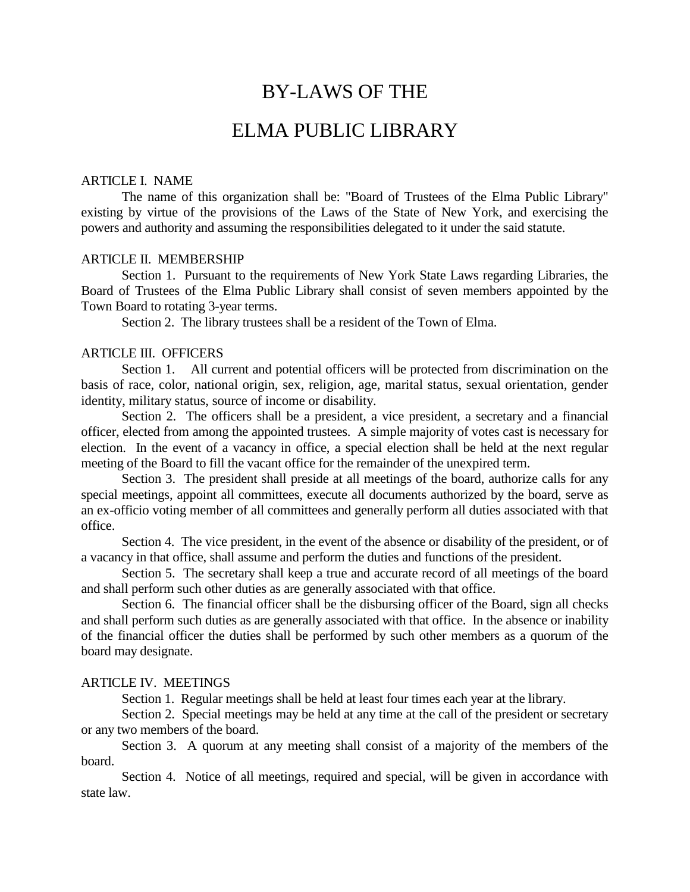# BY-LAWS OF THE

# ELMA PUBLIC LIBRARY

### ARTICLE I. NAME

The name of this organization shall be: "Board of Trustees of the Elma Public Library" existing by virtue of the provisions of the Laws of the State of New York, and exercising the powers and authority and assuming the responsibilities delegated to it under the said statute.

### ARTICLE II. MEMBERSHIP

Section 1. Pursuant to the requirements of New York State Laws regarding Libraries, the Board of Trustees of the Elma Public Library shall consist of seven members appointed by the Town Board to rotating 3-year terms.

Section 2. The library trustees shall be a resident of the Town of Elma.

## ARTICLE III. OFFICERS

Section 1. All current and potential officers will be protected from discrimination on the basis of race, color, national origin, sex, religion, age, marital status, sexual orientation, gender identity, military status, source of income or disability.

Section 2. The officers shall be a president, a vice president, a secretary and a financial officer, elected from among the appointed trustees. A simple majority of votes cast is necessary for election. In the event of a vacancy in office, a special election shall be held at the next regular meeting of the Board to fill the vacant office for the remainder of the unexpired term.

Section 3. The president shall preside at all meetings of the board, authorize calls for any special meetings, appoint all committees, execute all documents authorized by the board, serve as an ex-officio voting member of all committees and generally perform all duties associated with that office.

Section 4. The vice president, in the event of the absence or disability of the president, or of a vacancy in that office, shall assume and perform the duties and functions of the president.

Section 5. The secretary shall keep a true and accurate record of all meetings of the board and shall perform such other duties as are generally associated with that office.

Section 6. The financial officer shall be the disbursing officer of the Board, sign all checks and shall perform such duties as are generally associated with that office. In the absence or inability of the financial officer the duties shall be performed by such other members as a quorum of the board may designate.

## ARTICLE IV. MEETINGS

Section 1. Regular meetings shall be held at least four times each year at the library.

Section 2. Special meetings may be held at any time at the call of the president or secretary or any two members of the board.

Section 3. A quorum at any meeting shall consist of a majority of the members of the board.

Section 4. Notice of all meetings, required and special, will be given in accordance with state law.